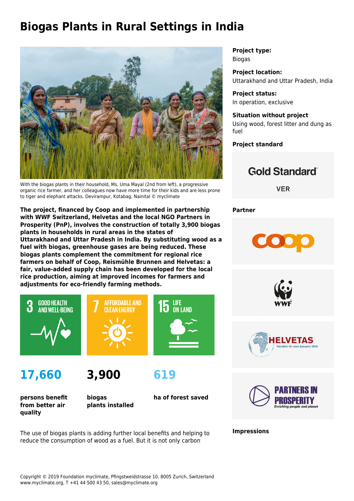# **Biogas Plants in Rural Settings in India**



With the biogas plants in their household, Ms. Uma Mayal (2nd from left), a progressive organic rice farmer, and her colleagues now have more time for their kids and are less prone to tiger and elephant attacks. Devirampur, Kotabag, Nainital © myclimate

**The project, financed by Coop and implemented in partnership with WWF Switzerland, Helvetas and the local NGO Partners in Prosperity (PnP), involves the construction of totally 3,900 biogas plants in households in rural areas in the states of Uttarakhand and Uttar Pradesh in India. By substituting wood as a fuel with biogas, greenhouse gases are being reduced. These biogas plants complement the commitment for regional rice farmers on behalf of Coop, Reismühle Brunnen and Helvetas: a fair, value-added supply chain has been developed for the local rice production, aiming at improved incomes for farmers and adjustments for eco-friendly farming methods.**



**17,660**



**persons benefit from better air quality**

**biogas plants installed**

**619**

**ha of forest saved**

**Project type:** Biogas

**Project location:** Uttarakhand and Uttar Pradesh, India

**Project status:** In operation, exclusive

#### **Situation without project** Using wood, forest litter and dung as fuel

**Project standard**

## **Gold Standard**®

**VER** 

**Partner**









**Impressions**

The use of biogas plants is adding further local benefits and helping to reduce the consumption of wood as a fuel. But it is not only carbon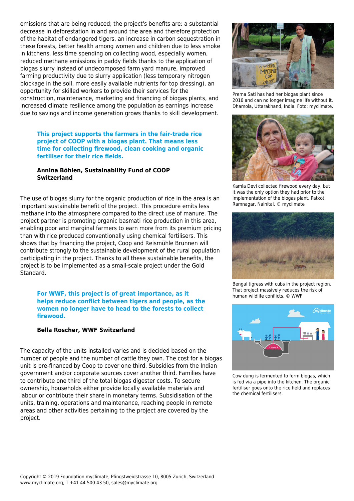emissions that are being reduced; the project's benefits are: a substantial decrease in deforestation in and around the area and therefore protection of the habitat of endangered tigers, an increase in carbon sequestration in these forests, better health among women and children due to less smoke in kitchens, less time spending on collecting wood, especially women, reduced methane emissions in paddy fields thanks to the application of biogas slurry instead of undecomposed farm yard manure, improved farming productivity due to slurry application (less temporary nitrogen blockage in the soil, more easily available nutrients for top dressing), an opportunity for skilled workers to provide their services for the construction, maintenance, marketing and financing of biogas plants, and increased climate resilience among the population as earnings increase due to savings and income generation grows thanks to skill development.

#### **This project supports the farmers in the fair-trade rice project of COOP with a biogas plant. That means less time for collecting firewood, clean cooking and organic fertiliser for their rice fields.**

#### **Annina Böhlen, Sustainability Fund of COOP Switzerland**

The use of biogas slurry for the organic production of rice in the area is an important sustainable benefit of the project. This procedure emits less methane into the atmosphere compared to the direct use of manure. The project partner is promoting organic basmati rice production in this area, enabling poor and marginal farmers to earn more from its premium pricing than with rice produced conventionally using chemical fertilisers. This shows that by financing the project, Coop and Reismühle Brunnen will contribute strongly to the sustainable development of the rural population participating in the project. Thanks to all these sustainable benefits, the project is to be implemented as a small-scale project under the Gold Standard.

#### **For WWF, this project is of great importance, as it helps reduce conflict between tigers and people, as the women no longer have to head to the forests to collect firewood.**

#### **Bella Roscher, WWF Switzerland**

The capacity of the units installed varies and is decided based on the number of people and the number of cattle they own. The cost for a biogas unit is pre-financed by Coop to cover one third. Subsidies from the Indian government and/or corporate sources cover another third. Families have to contribute one third of the total biogas digester costs. To secure ownership, households either provide locally available materials and labour or contribute their share in monetary terms. Subsidisation of the units, training, operations and maintenance, reaching people in remote areas and other activities pertaining to the project are covered by the project.



Prema Sati has had her biogas plant since 2016 and can no longer imagine life without it. Dhamola, Uttarakhand, India. Foto: myclimate.



Kamla Devi collected firewood every day, but it was the only option they had prior to the implementation of the biogas plant. Patkot, Ramnagar, Nainital. © myclimate



Bengal tigress with cubs in the project region. That project massively reduces the risk of human wildlife conflicts. © WWF



Cow dung is fermented to form biogas, which is fed via a pipe into the kitchen. The organic fertiliser goes onto the rice field and replaces the chemical fertilisers.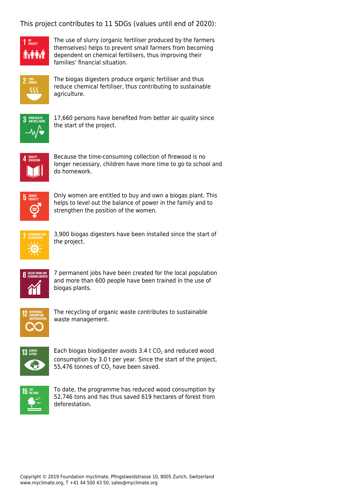### This project contributes to 11 SDGs (values until end of 2020):



The use of slurry (organic fertiliser produced by the farmers themselves) helps to prevent small farmers from becoming dependent on chemical fertilisers, thus improving their families' financial situation.



The biogas digesters produce organic fertiliser and thus reduce chemical fertiliser, thus contributing to sustainable agriculture.



17,660 persons have benefited from better air quality since the start of the project.



Because the time-consuming collection of firewood is no longer necessary, children have more time to go to school and do homework.



Only women are entitled to buy and own a biogas plant. This helps to level out the balance of power in the family and to strengthen the position of the women.



3,900 biogas digesters have been installed since the start of the project.



7 permanent jobs have been created for the local population and more than 600 people have been trained in the use of biogas plants.



The recycling of organic waste contributes to sustainable waste management.



Each biogas biodigester avoids 3.4 t CO<sub>2</sub> and reduced wood consumption by 3.0 t per year. Since the start of the project, 55,476 tonnes of  $CO<sub>2</sub>$  have been saved.



To date, the programme has reduced wood consumption by 52,746 tons and has thus saved 619 hectares of forest from deforestation.